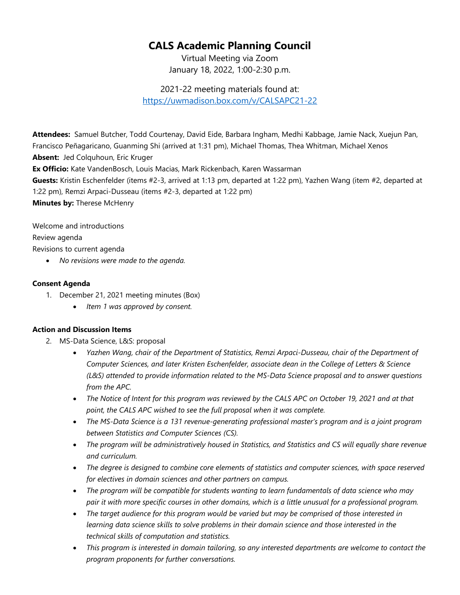## **CALS Academic Planning Council**

Virtual Meeting via Zoom January 18, 2022, 1:00-2:30 p.m.

2021-22 meeting materials found at: <https://uwmadison.box.com/v/CALSAPC21-22>

**Attendees:** Samuel Butcher, Todd Courtenay, David Eide, Barbara Ingham, Medhi Kabbage, Jamie Nack, Xuejun Pan, Francisco Peñagaricano, Guanming Shi (arrived at 1:31 pm), Michael Thomas, Thea Whitman, Michael Xenos **Absent:** Jed Colquhoun, Eric Kruger **Ex Officio:** Kate VandenBosch, Louis Macias, Mark Rickenbach, Karen Wassarman **Guests:** Kristin Eschenfelder (items #2-3, arrived at 1:13 pm, departed at 1:22 pm), Yazhen Wang (item #2, departed at 1:22 pm), Remzi Arpaci-Dusseau (items #2-3, departed at 1:22 pm) **Minutes by:** Therese McHenry

Welcome and introductions

Review agenda

Revisions to current agenda

• *No revisions were made to the agenda.*

## **Consent Agenda**

- 1. December 21, 2021 meeting minutes (Box)
	- *Item 1 was approved by consent.*

## **Action and Discussion Items**

- 2. MS-Data Science, L&S: proposal
	- *Yazhen Wang, chair of the Department of Statistics, Remzi Arpaci-Dusseau, chair of the Department of Computer Sciences, and later Kristen Eschenfelder, associate dean in the College of Letters & Science (L&S) attended to provide information related to the MS-Data Science proposal and to answer questions from the APC.*
	- *The Notice of Intent for this program was reviewed by the CALS APC on October 19, 2021 and at that point, the CALS APC wished to see the full proposal when it was complete.*
	- *The MS-Data Science is a 131 revenue-generating professional master's program and is a joint program between Statistics and Computer Sciences (CS).*
	- *The program will be administratively housed in Statistics, and Statistics and CS will equally share revenue and curriculum.*
	- *The degree is designed to combine core elements of statistics and computer sciences, with space reserved for electives in domain sciences and other partners on campus.*
	- *The program will be compatible for students wanting to learn fundamentals of data science who may pair it with more specific courses in other domains, which is a little unusual for a professional program.*
	- *The target audience for this program would be varied but may be comprised of those interested in learning data science skills to solve problems in their domain science and those interested in the technical skills of computation and statistics.*
	- *This program is interested in domain tailoring, so any interested departments are welcome to contact the program proponents for further conversations.*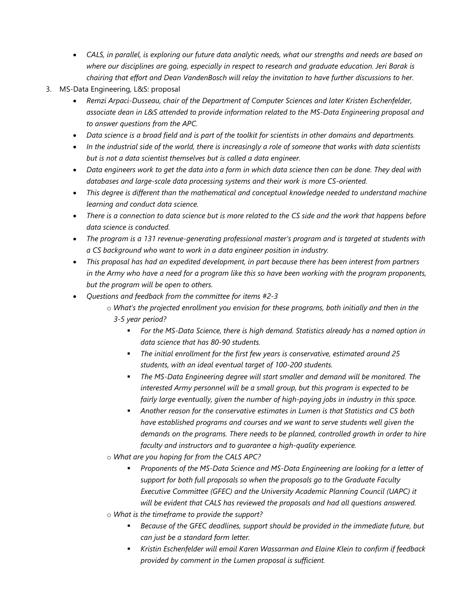- *CALS, in parallel, is exploring our future data analytic needs, what our strengths and needs are based on where our disciplines are going, especially in respect to research and graduate education. Jeri Barak is chairing that effort and Dean VandenBosch will relay the invitation to have further discussions to her.*
- 3. MS-Data Engineering, L&S: proposal
	- *Remzi Arpaci-Dusseau, chair of the Department of Computer Sciences and later Kristen Eschenfelder, associate dean in L&S attended to provide information related to the MS-Data Engineering proposal and to answer questions from the APC.*
	- *Data science is a broad field and is part of the toolkit for scientists in other domains and departments.*
	- *In the industrial side of the world, there is increasingly a role of someone that works with data scientists but is not a data scientist themselves but is called a data engineer.*
	- *Data engineers work to get the data into a form in which data science then can be done. They deal with databases and large-scale data processing systems and their work is more CS-oriented.*
	- *This degree is different than the mathematical and conceptual knowledge needed to understand machine learning and conduct data science.*
	- *There is a connection to data science but is more related to the CS side and the work that happens before data science is conducted.*
	- *The program is a 131 revenue-generating professional master's program and is targeted at students with a CS background who want to work in a data engineer position in industry.*
	- *This proposal has had an expedited development, in part because there has been interest from partners in the Army who have a need for a program like this so have been working with the program proponents, but the program will be open to others.*
	- *Questions and feedback from the committee for items #2-3*
		- o *What's the projected enrollment you envision for these programs, both initially and then in the* 
			- *3-5 year period?*
				- *For the MS-Data Science, there is high demand. Statistics already has a named option in data science that has 80-90 students.*
				- *The initial enrollment for the first few years is conservative, estimated around 25 students, with an ideal eventual target of 100-200 students.*
				- *The MS-Data Engineering degree will start smaller and demand will be monitored. The interested Army personnel will be a small group, but this program is expected to be fairly large eventually, given the number of high-paying jobs in industry in this space.*
				- *Another reason for the conservative estimates in Lumen is that Statistics and CS both have established programs and courses and we want to serve students well given the demands on the programs. There needs to be planned, controlled growth in order to hire faculty and instructors and to guarantee a high-quality experience.*
		- o *What are you hoping for from the CALS APC?*
			- *Proponents of the MS-Data Science and MS-Data Engineering are looking for a letter of support for both full proposals so when the proposals go to the Graduate Faculty Executive Committee (GFEC) and the University Academic Planning Council (UAPC) it will be evident that CALS has reviewed the proposals and had all questions answered.*
		- o *What is the timeframe to provide the support?*
			- *Because of the GFEC deadlines, support should be provided in the immediate future, but can just be a standard form letter.*
			- *Kristin Eschenfelder will email Karen Wassarman and Elaine Klein to confirm if feedback provided by comment in the Lumen proposal is sufficient.*